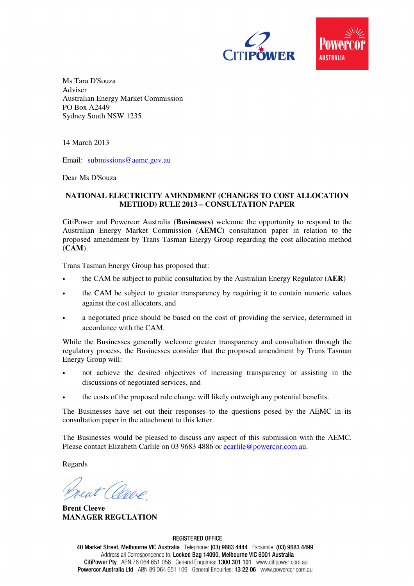



Ms Tara D'Souza Adviser Australian Energy Market Commission PO Box A2449 Sydney South NSW 1235

14 March 2013

Email: submissions@aemc.gov.au

Dear Ms D'Souza

# **NATIONAL ELECTRICITY AMENDMENT (CHANGES TO COST ALLOCATION METHOD) RULE 2013 – CONSULTATION PAPER**

CitiPower and Powercor Australia (**Businesses**) welcome the opportunity to respond to the Australian Energy Market Commission (**AEMC**) consultation paper in relation to the proposed amendment by Trans Tasman Energy Group regarding the cost allocation method (**CAM**).

Trans Tasman Energy Group has proposed that:

- the CAM be subject to public consultation by the Australian Energy Regulator (**AER**)
- the CAM be subject to greater transparency by requiring it to contain numeric values against the cost allocators, and
- a negotiated price should be based on the cost of providing the service, determined in accordance with the CAM.

While the Businesses generally welcome greater transparency and consultation through the regulatory process, the Businesses consider that the proposed amendment by Trans Tasman Energy Group will:

- not achieve the desired objectives of increasing transparency or assisting in the discussions of negotiated services, and
- the costs of the proposed rule change will likely outweigh any potential benefits.

The Businesses have set out their responses to the questions posed by the AEMC in its consultation paper in the attachment to this letter.

The Businesses would be pleased to discuss any aspect of this submission with the AEMC. Please contact Elizabeth Carlile on 03 9683 4886 or ecarlile@powercor.com.au.

Regards

rent (Opper

**Brent Cleeve MANAGER REGULATION** 

**REGISTERED OFFICE** 

40 Market Street, Melbourne VIC Australia Telephone: (03) 9683 4444 Facsimile: (03) 9683 4499 Address all Correspondence to: Locked Bag 14090, Melbourne VIC 8001 Australia CitiPower Pty ABN 76 064 651 056 General Enquiries: 1300 301 101 www.citipower.com.au Powercor Australia Ltd ABN 89 064 651 109 General Enquiries: 13 22 06 www.powercor.com.au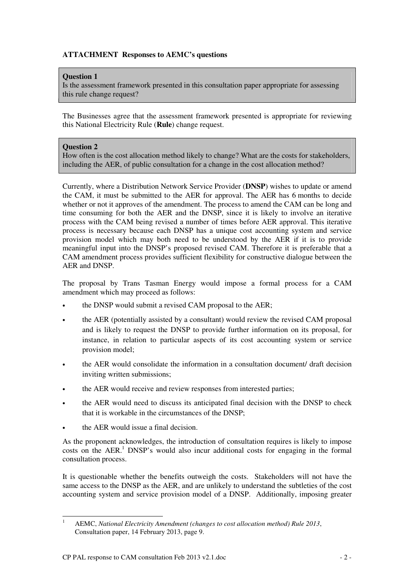# **ATTACHMENT Responses to AEMC's questions**

### **Question 1**

Is the assessment framework presented in this consultation paper appropriate for assessing this rule change request?

The Businesses agree that the assessment framework presented is appropriate for reviewing this National Electricity Rule (**Rule**) change request.

### **Question 2**

How often is the cost allocation method likely to change? What are the costs for stakeholders, including the AER, of public consultation for a change in the cost allocation method?

Currently, where a Distribution Network Service Provider (**DNSP**) wishes to update or amend the CAM, it must be submitted to the AER for approval. The AER has 6 months to decide whether or not it approves of the amendment. The process to amend the CAM can be long and time consuming for both the AER and the DNSP, since it is likely to involve an iterative process with the CAM being revised a number of times before AER approval. This iterative process is necessary because each DNSP has a unique cost accounting system and service provision model which may both need to be understood by the AER if it is to provide meaningful input into the DNSP's proposed revised CAM. Therefore it is preferable that a CAM amendment process provides sufficient flexibility for constructive dialogue between the AER and DNSP.

The proposal by Trans Tasman Energy would impose a formal process for a CAM amendment which may proceed as follows:

- the DNSP would submit a revised CAM proposal to the AER;
- the AER (potentially assisted by a consultant) would review the revised CAM proposal and is likely to request the DNSP to provide further information on its proposal, for instance, in relation to particular aspects of its cost accounting system or service provision model;
- the AER would consolidate the information in a consultation document/ draft decision inviting written submissions;
- the AER would receive and review responses from interested parties;
- the AER would need to discuss its anticipated final decision with the DNSP to check that it is workable in the circumstances of the DNSP;
- the AER would issue a final decision.

As the proponent acknowledges, the introduction of consultation requires is likely to impose costs on the AER.<sup>1</sup> DNSP's would also incur additional costs for engaging in the formal consultation process.

It is questionable whether the benefits outweigh the costs. Stakeholders will not have the same access to the DNSP as the AER, and are unlikely to understand the subtleties of the cost accounting system and service provision model of a DNSP. Additionally, imposing greater

<sup>|&</sup>lt;br>|<br>| AEMC, *National Electricity Amendment (changes to cost allocation method) Rule 2013*, Consultation paper, 14 February 2013, page 9.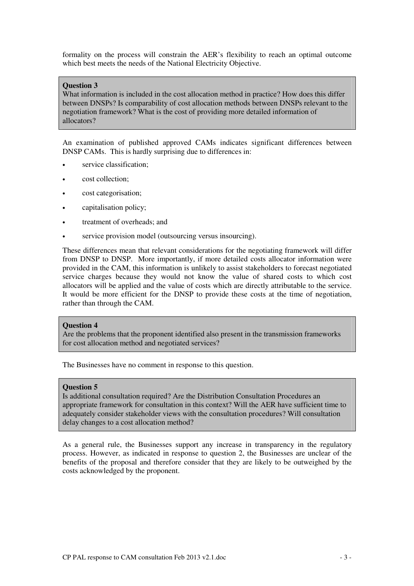formality on the process will constrain the AER's flexibility to reach an optimal outcome which best meets the needs of the National Electricity Objective.

### **Question 3**

What information is included in the cost allocation method in practice? How does this differ between DNSPs? Is comparability of cost allocation methods between DNSPs relevant to the negotiation framework? What is the cost of providing more detailed information of allocators?

An examination of published approved CAMs indicates significant differences between DNSP CAMs. This is hardly surprising due to differences in:

- service classification:
- cost collection;
- cost categorisation;
- capitalisation policy;
- treatment of overheads; and
- service provision model (outsourcing versus insourcing).

These differences mean that relevant considerations for the negotiating framework will differ from DNSP to DNSP. More importantly, if more detailed costs allocator information were provided in the CAM, this information is unlikely to assist stakeholders to forecast negotiated service charges because they would not know the value of shared costs to which cost allocators will be applied and the value of costs which are directly attributable to the service. It would be more efficient for the DNSP to provide these costs at the time of negotiation, rather than through the CAM.

#### **Question 4**

Are the problems that the proponent identified also present in the transmission frameworks for cost allocation method and negotiated services?

The Businesses have no comment in response to this question.

### **Question 5**

Is additional consultation required? Are the Distribution Consultation Procedures an appropriate framework for consultation in this context? Will the AER have sufficient time to adequately consider stakeholder views with the consultation procedures? Will consultation delay changes to a cost allocation method?

As a general rule, the Businesses support any increase in transparency in the regulatory process. However, as indicated in response to question 2, the Businesses are unclear of the benefits of the proposal and therefore consider that they are likely to be outweighed by the costs acknowledged by the proponent.